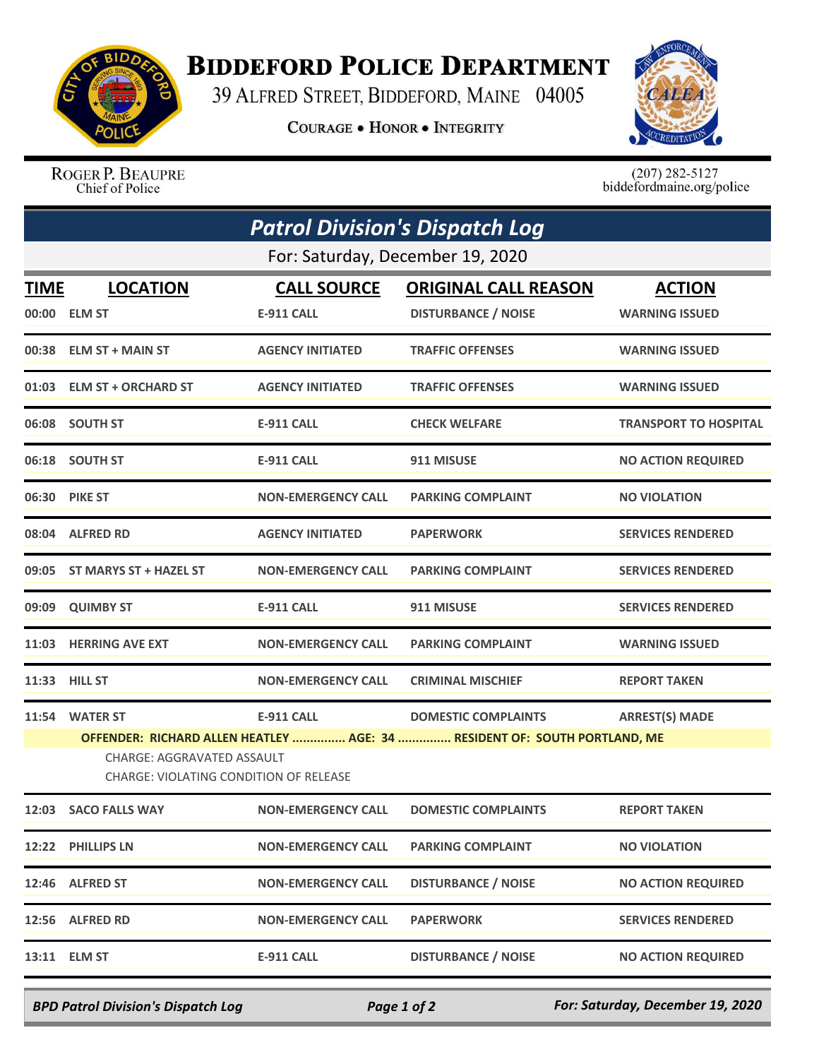

## **BIDDEFORD POLICE DEPARTMENT**

39 ALFRED STREET, BIDDEFORD, MAINE 04005

**COURAGE . HONOR . INTEGRITY** 



ROGER P. BEAUPRE Chief of Police

 $(207)$  282-5127<br>biddefordmaine.org/police

| <b>Patrol Division's Dispatch Log</b> |                                                                                                                                                          |                                         |                                                           |                                        |  |  |  |
|---------------------------------------|----------------------------------------------------------------------------------------------------------------------------------------------------------|-----------------------------------------|-----------------------------------------------------------|----------------------------------------|--|--|--|
|                                       | For: Saturday, December 19, 2020                                                                                                                         |                                         |                                                           |                                        |  |  |  |
| <b>TIME</b>                           | <b>LOCATION</b><br>00:00 ELM ST                                                                                                                          | <b>CALL SOURCE</b><br><b>E-911 CALL</b> | <b>ORIGINAL CALL REASON</b><br><b>DISTURBANCE / NOISE</b> | <b>ACTION</b><br><b>WARNING ISSUED</b> |  |  |  |
|                                       | 00:38 ELM ST + MAIN ST                                                                                                                                   | <b>AGENCY INITIATED</b>                 | <b>TRAFFIC OFFENSES</b>                                   | <b>WARNING ISSUED</b>                  |  |  |  |
|                                       | 01:03 ELM ST + ORCHARD ST                                                                                                                                | <b>AGENCY INITIATED</b>                 | <b>TRAFFIC OFFENSES</b>                                   | <b>WARNING ISSUED</b>                  |  |  |  |
|                                       | 06:08 SOUTH ST                                                                                                                                           | <b>E-911 CALL</b>                       | <b>CHECK WELFARE</b>                                      | <b>TRANSPORT TO HOSPITAL</b>           |  |  |  |
|                                       | 06:18 SOUTH ST                                                                                                                                           | <b>E-911 CALL</b>                       | 911 MISUSE                                                | <b>NO ACTION REQUIRED</b>              |  |  |  |
|                                       | 06:30 PIKE ST                                                                                                                                            | <b>NON-EMERGENCY CALL</b>               | <b>PARKING COMPLAINT</b>                                  | <b>NO VIOLATION</b>                    |  |  |  |
|                                       | 08:04 ALFRED RD                                                                                                                                          | <b>AGENCY INITIATED</b>                 | <b>PAPERWORK</b>                                          | <b>SERVICES RENDERED</b>               |  |  |  |
|                                       | 09:05 ST MARYS ST + HAZEL ST                                                                                                                             | <b>NON-EMERGENCY CALL</b>               | <b>PARKING COMPLAINT</b>                                  | <b>SERVICES RENDERED</b>               |  |  |  |
|                                       | 09:09 QUIMBY ST                                                                                                                                          | <b>E-911 CALL</b>                       | 911 MISUSE                                                | <b>SERVICES RENDERED</b>               |  |  |  |
|                                       | 11:03 HERRING AVE EXT                                                                                                                                    | <b>NON-EMERGENCY CALL</b>               | <b>PARKING COMPLAINT</b>                                  | <b>WARNING ISSUED</b>                  |  |  |  |
|                                       | 11:33 HILL ST                                                                                                                                            | <b>NON-EMERGENCY CALL</b>               | <b>CRIMINAL MISCHIEF</b>                                  | <b>REPORT TAKEN</b>                    |  |  |  |
|                                       | 11:54 WATER ST                                                                                                                                           | <b>E-911 CALL</b>                       | <b>DOMESTIC COMPLAINTS</b>                                | <b>ARREST(S) MADE</b>                  |  |  |  |
|                                       | OFFENDER: RICHARD ALLEN HEATLEY  AGE: 34  RESIDENT OF: SOUTH PORTLAND, ME<br><b>CHARGE: AGGRAVATED ASSAULT</b><br>CHARGE: VIOLATING CONDITION OF RELEASE |                                         |                                                           |                                        |  |  |  |
|                                       | 12:03 SACO FALLS WAY                                                                                                                                     |                                         | NON-EMERGENCY CALL DOMESTIC COMPLAINTS                    | <b>REPORT TAKEN</b>                    |  |  |  |
|                                       | 12:22 PHILLIPS LN                                                                                                                                        | <b>NON-EMERGENCY CALL</b>               | <b>PARKING COMPLAINT</b>                                  | <b>NO VIOLATION</b>                    |  |  |  |
|                                       | 12:46 ALFRED ST                                                                                                                                          | <b>NON-EMERGENCY CALL</b>               | <b>DISTURBANCE / NOISE</b>                                | <b>NO ACTION REQUIRED</b>              |  |  |  |
|                                       | 12:56 ALFRED RD                                                                                                                                          | <b>NON-EMERGENCY CALL</b>               | <b>PAPERWORK</b>                                          | <b>SERVICES RENDERED</b>               |  |  |  |
| 13:11                                 | <b>ELM ST</b>                                                                                                                                            | <b>E-911 CALL</b>                       | <b>DISTURBANCE / NOISE</b>                                | <b>NO ACTION REQUIRED</b>              |  |  |  |

*BPD Patrol Division's Dispatch Log Page 1 of 2 For: Saturday, December 19, 2020*